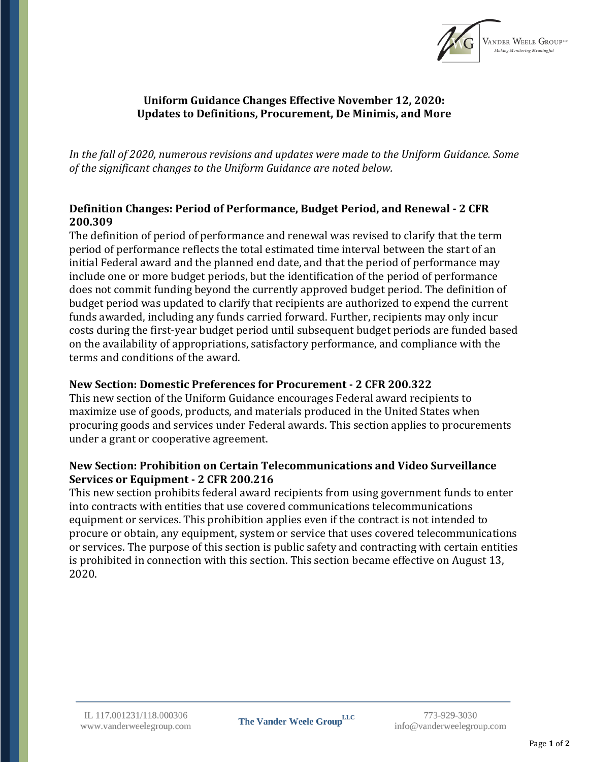

### **Uniform Guidance Changes Effective November 12, 2020: Updates to Definitions, Procurement, De Minimis, and More**

*In the fall of 2020, numerous revisions and updates were made to the Uniform Guidance. Some of the significant changes to the Uniform Guidance are noted below.*

# **Definition Changes: Period of Performance, Budget Period, and Renewal - 2 CFR 200.309**

The definition of period of performance and renewal was revised to clarify that the term period of performance reflects the total estimated time interval between the start of an initial Federal award and the planned end date, and that the period of performance may include one or more budget periods, but the identification of the period of performance does not commit funding beyond the currently approved budget period. The definition of budget period was updated to clarify that recipients are authorized to expend the current funds awarded, including any funds carried forward. Further, recipients may only incur costs during the first-year budget period until subsequent budget periods are funded based on the availability of appropriations, satisfactory performance, and compliance with the terms and conditions of the award.

#### **New Section: Domestic Preferences for Procurement - 2 CFR 200.322**

This new section of the Uniform Guidance encourages Federal award recipients to maximize use of goods, products, and materials produced in the United States when procuring goods and services under Federal awards. This section applies to procurements under a grant or cooperative agreement.

### **New Section: Prohibition on Certain Telecommunications and Video Surveillance Services or Equipment - 2 CFR 200.216**

This new section prohibits federal award recipients from using government funds to enter into contracts with entities that use covered communications telecommunications equipment or services. This prohibition applies even if the contract is not intended to procure or obtain, any equipment, system or service that uses covered telecommunications or services. The purpose of this section is public safety and contracting with certain entities is prohibited in connection with this section. This section became effective on August 13, 2020.